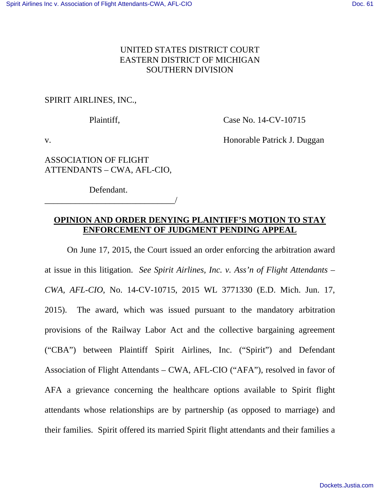## UNITED STATES DISTRICT COURT EASTERN DISTRICT OF MICHIGAN SOUTHERN DIVISION

SPIRIT AIRLINES, INC.,

Plaintiff, Case No. 14-CV-10715

v. Honorable Patrick J. Duggan

ASSOCIATION OF FLIGHT ATTENDANTS – CWA, AFL-CIO,

Defendant.

\_\_\_\_\_\_\_\_\_\_\_\_\_\_\_\_\_\_\_\_\_\_\_\_\_\_\_\_\_\_/

## **OPINION AND ORDER DENYING PLAINTIFF'S MOTION TO STAY ENFORCEMENT OF JUDGMENT PENDING APPEAL**

 On June 17, 2015, the Court issued an order enforcing the arbitration award at issue in this litigation. *See Spirit Airlines, Inc. v. Ass'n of Flight Attendants – CWA, AFL-CIO*, No. 14-CV-10715, 2015 WL 3771330 (E.D. Mich. Jun. 17, 2015). The award, which was issued pursuant to the mandatory arbitration provisions of the Railway Labor Act and the collective bargaining agreement ("CBA") between Plaintiff Spirit Airlines, Inc. ("Spirit") and Defendant Association of Flight Attendants – CWA, AFL-CIO ("AFA"), resolved in favor of AFA a grievance concerning the healthcare options available to Spirit flight attendants whose relationships are by partnership (as opposed to marriage) and their families. Spirit offered its married Spirit flight attendants and their families a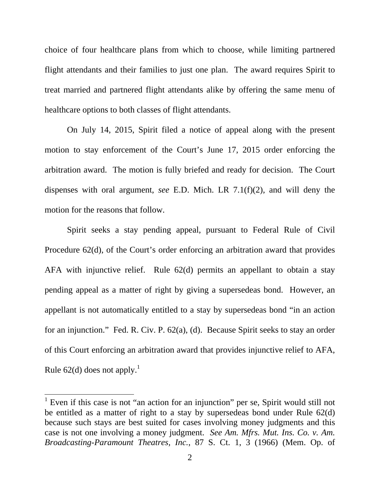choice of four healthcare plans from which to choose, while limiting partnered flight attendants and their families to just one plan. The award requires Spirit to treat married and partnered flight attendants alike by offering the same menu of healthcare options to both classes of flight attendants.

 On July 14, 2015, Spirit filed a notice of appeal along with the present motion to stay enforcement of the Court's June 17, 2015 order enforcing the arbitration award. The motion is fully briefed and ready for decision. The Court dispenses with oral argument, *see* E.D. Mich. LR 7.1(f)(2), and will deny the motion for the reasons that follow.

 Spirit seeks a stay pending appeal, pursuant to Federal Rule of Civil Procedure 62(d), of the Court's order enforcing an arbitration award that provides AFA with injunctive relief. Rule 62(d) permits an appellant to obtain a stay pending appeal as a matter of right by giving a supersedeas bond. However, an appellant is not automatically entitled to a stay by supersedeas bond "in an action for an injunction." Fed. R. Civ. P. 62(a), (d). Because Spirit seeks to stay an order of this Court enforcing an arbitration award that provides injunctive relief to AFA, Rule 62(d) does not apply.<sup>1</sup>

-

<sup>&</sup>lt;sup>1</sup> Even if this case is not "an action for an injunction" per se, Spirit would still not be entitled as a matter of right to a stay by supersedeas bond under Rule 62(d) because such stays are best suited for cases involving money judgments and this case is not one involving a money judgment. *See Am. Mfrs. Mut. Ins. Co. v. Am. Broadcasting-Paramount Theatres, Inc.*, 87 S. Ct. 1, 3 (1966) (Mem. Op. of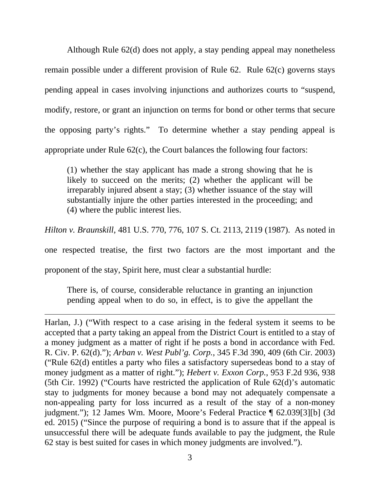Although Rule 62(d) does not apply, a stay pending appeal may nonetheless remain possible under a different provision of Rule 62. Rule 62(c) governs stays pending appeal in cases involving injunctions and authorizes courts to "suspend, modify, restore, or grant an injunction on terms for bond or other terms that secure the opposing party's rights." To determine whether a stay pending appeal is appropriate under Rule 62(c), the Court balances the following four factors:

(1) whether the stay applicant has made a strong showing that he is likely to succeed on the merits; (2) whether the applicant will be irreparably injured absent a stay; (3) whether issuance of the stay will substantially injure the other parties interested in the proceeding; and (4) where the public interest lies.

*Hilton v. Braunskill*, 481 U.S. 770, 776, 107 S. Ct. 2113, 2119 (1987). As noted in

one respected treatise, the first two factors are the most important and the

proponent of the stay, Spirit here, must clear a substantial hurdle:

 $\overline{a}$ 

There is, of course, considerable reluctance in granting an injunction pending appeal when to do so, in effect, is to give the appellant the

Harlan, J.) ("With respect to a case arising in the federal system it seems to be accepted that a party taking an appeal from the District Court is entitled to a stay of a money judgment as a matter of right if he posts a bond in accordance with Fed. R. Civ. P. 62(d)."); *Arban v. West Publ'g. Corp.*, 345 F.3d 390, 409 (6th Cir. 2003) ("Rule 62(d) entitles a party who files a satisfactory supersedeas bond to a stay of money judgment as a matter of right."); *Hebert v. Exxon Corp.*, 953 F.2d 936, 938 (5th Cir. 1992) ("Courts have restricted the application of Rule 62(d)'s automatic stay to judgments for money because a bond may not adequately compensate a non-appealing party for loss incurred as a result of the stay of a non-money judgment."); 12 James Wm. Moore, Moore's Federal Practice ¶ 62.039[3][b] (3d ed. 2015) ("Since the purpose of requiring a bond is to assure that if the appeal is unsuccessful there will be adequate funds available to pay the judgment, the Rule 62 stay is best suited for cases in which money judgments are involved.").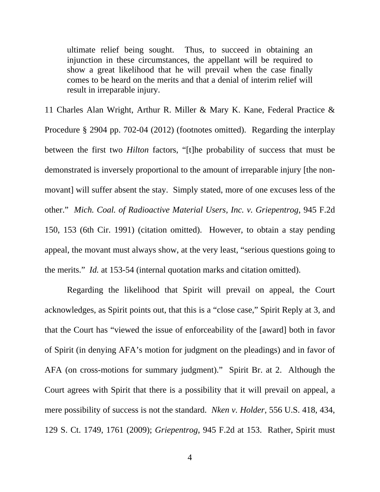ultimate relief being sought. Thus, to succeed in obtaining an injunction in these circumstances, the appellant will be required to show a great likelihood that he will prevail when the case finally comes to be heard on the merits and that a denial of interim relief will result in irreparable injury.

11 Charles Alan Wright, Arthur R. Miller & Mary K. Kane, Federal Practice & Procedure § 2904 pp. 702-04 (2012) (footnotes omitted). Regarding the interplay between the first two *Hilton* factors, "[t]he probability of success that must be demonstrated is inversely proportional to the amount of irreparable injury [the nonmovant] will suffer absent the stay. Simply stated, more of one excuses less of the other." *Mich. Coal. of Radioactive Material Users, Inc. v. Griepentrog*, 945 F.2d 150, 153 (6th Cir. 1991) (citation omitted). However, to obtain a stay pending appeal, the movant must always show, at the very least, "serious questions going to the merits." *Id.* at 153-54 (internal quotation marks and citation omitted).

 Regarding the likelihood that Spirit will prevail on appeal, the Court acknowledges, as Spirit points out, that this is a "close case," Spirit Reply at 3, and that the Court has "viewed the issue of enforceability of the [award] both in favor of Spirit (in denying AFA's motion for judgment on the pleadings) and in favor of AFA (on cross-motions for summary judgment)." Spirit Br. at 2. Although the Court agrees with Spirit that there is a possibility that it will prevail on appeal, a mere possibility of success is not the standard. *Nken v. Holder*, 556 U.S. 418, 434, 129 S. Ct. 1749, 1761 (2009); *Griepentrog*, 945 F.2d at 153. Rather, Spirit must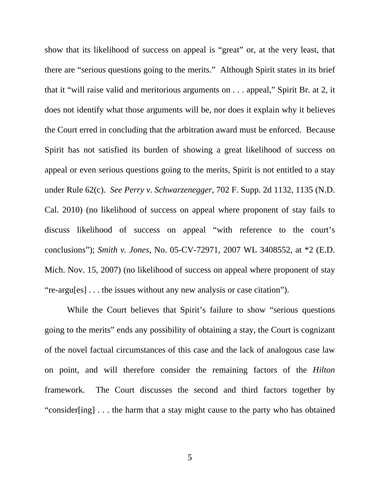show that its likelihood of success on appeal is "great" or, at the very least, that there are "serious questions going to the merits." Although Spirit states in its brief that it "will raise valid and meritorious arguments on . . . appeal," Spirit Br. at 2, it does not identify what those arguments will be, nor does it explain why it believes the Court erred in concluding that the arbitration award must be enforced. Because Spirit has not satisfied its burden of showing a great likelihood of success on appeal or even serious questions going to the merits, Spirit is not entitled to a stay under Rule 62(c). *See Perry v. Schwarzenegger*, 702 F. Supp. 2d 1132, 1135 (N.D. Cal. 2010) (no likelihood of success on appeal where proponent of stay fails to discuss likelihood of success on appeal "with reference to the court's conclusions"); *Smith v. Jones*, No. 05-CV-72971, 2007 WL 3408552, at \*2 (E.D. Mich. Nov. 15, 2007) (no likelihood of success on appeal where proponent of stay "re-argu[es] . . . the issues without any new analysis or case citation").

 While the Court believes that Spirit's failure to show "serious questions going to the merits" ends any possibility of obtaining a stay, the Court is cognizant of the novel factual circumstances of this case and the lack of analogous case law on point, and will therefore consider the remaining factors of the *Hilton* framework. The Court discusses the second and third factors together by "consider[ing] . . . the harm that a stay might cause to the party who has obtained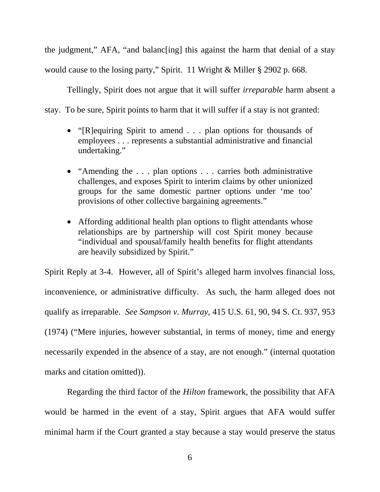the judgment," AFA, "and balanc[ing] this against the harm that denial of a stay would cause to the losing party," Spirit. 11 Wright & Miller § 2902 p. 668.

 Tellingly, Spirit does not argue that it will suffer *irreparable* harm absent a stay. To be sure, Spirit points to harm that it will suffer if a stay is not granted:

- "[R]equiring Spirit to amend . . . plan options for thousands of employees . . . represents a substantial administrative and financial undertaking."
- "Amending the . . . plan options . . . carries both administrative challenges, and exposes Spirit to interim claims by other unionized groups for the same domestic partner options under 'me too' provisions of other collective bargaining agreements."
- Affording additional health plan options to flight attendants whose relationships are by partnership will cost Spirit money because "individual and spousal/family health benefits for flight attendants are heavily subsidized by Spirit."

Spirit Reply at 3-4. However, all of Spirit's alleged harm involves financial loss, inconvenience, or administrative difficulty. As such, the harm alleged does not qualify as irreparable. *See Sampson v. Murray*, 415 U.S. 61, 90, 94 S. Ct. 937, 953 (1974) ("Mere injuries, however substantial, in terms of money, time and energy necessarily expended in the absence of a stay, are not enough." (internal quotation marks and citation omitted)).

 Regarding the third factor of the *Hilton* framework, the possibility that AFA would be harmed in the event of a stay, Spirit argues that AFA would suffer minimal harm if the Court granted a stay because a stay would preserve the status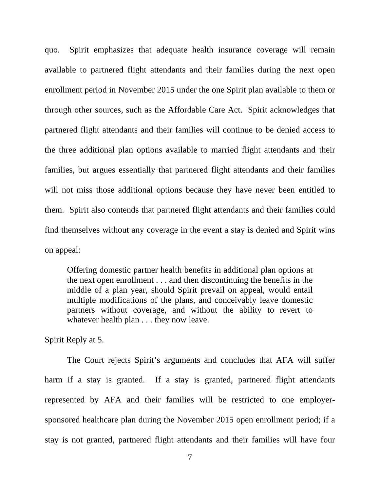quo. Spirit emphasizes that adequate health insurance coverage will remain available to partnered flight attendants and their families during the next open enrollment period in November 2015 under the one Spirit plan available to them or through other sources, such as the Affordable Care Act. Spirit acknowledges that partnered flight attendants and their families will continue to be denied access to the three additional plan options available to married flight attendants and their families, but argues essentially that partnered flight attendants and their families will not miss those additional options because they have never been entitled to them. Spirit also contends that partnered flight attendants and their families could find themselves without any coverage in the event a stay is denied and Spirit wins on appeal:

Offering domestic partner health benefits in additional plan options at the next open enrollment . . . and then discontinuing the benefits in the middle of a plan year, should Spirit prevail on appeal, would entail multiple modifications of the plans, and conceivably leave domestic partners without coverage, and without the ability to revert to whatever health plan . . . they now leave.

Spirit Reply at 5.

 The Court rejects Spirit's arguments and concludes that AFA will suffer harm if a stay is granted. If a stay is granted, partnered flight attendants represented by AFA and their families will be restricted to one employersponsored healthcare plan during the November 2015 open enrollment period; if a stay is not granted, partnered flight attendants and their families will have four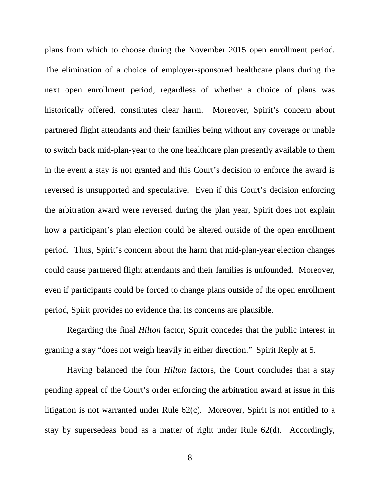plans from which to choose during the November 2015 open enrollment period. The elimination of a choice of employer-sponsored healthcare plans during the next open enrollment period, regardless of whether a choice of plans was historically offered, constitutes clear harm. Moreover, Spirit's concern about partnered flight attendants and their families being without any coverage or unable to switch back mid-plan-year to the one healthcare plan presently available to them in the event a stay is not granted and this Court's decision to enforce the award is reversed is unsupported and speculative. Even if this Court's decision enforcing the arbitration award were reversed during the plan year, Spirit does not explain how a participant's plan election could be altered outside of the open enrollment period. Thus, Spirit's concern about the harm that mid-plan-year election changes could cause partnered flight attendants and their families is unfounded. Moreover, even if participants could be forced to change plans outside of the open enrollment period, Spirit provides no evidence that its concerns are plausible.

 Regarding the final *Hilton* factor, Spirit concedes that the public interest in granting a stay "does not weigh heavily in either direction." Spirit Reply at 5.

 Having balanced the four *Hilton* factors, the Court concludes that a stay pending appeal of the Court's order enforcing the arbitration award at issue in this litigation is not warranted under Rule 62(c). Moreover, Spirit is not entitled to a stay by supersedeas bond as a matter of right under Rule 62(d). Accordingly,